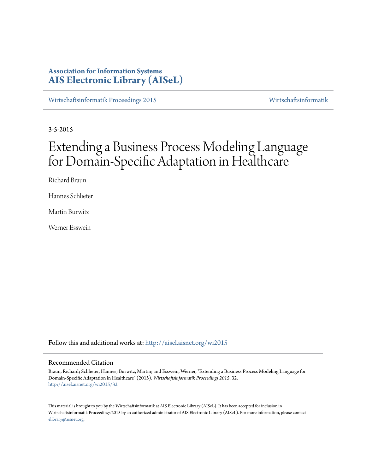# **Association for Information Systems [AIS Electronic Library \(AISeL\)](http://aisel.aisnet.org?utm_source=aisel.aisnet.org%2Fwi2015%2F32&utm_medium=PDF&utm_campaign=PDFCoverPages)**

[Wirtschaftsinformatik Proceedings 2015](http://aisel.aisnet.org/wi2015?utm_source=aisel.aisnet.org%2Fwi2015%2F32&utm_medium=PDF&utm_campaign=PDFCoverPages) [Wirtschaftsinformatik](http://aisel.aisnet.org/wi?utm_source=aisel.aisnet.org%2Fwi2015%2F32&utm_medium=PDF&utm_campaign=PDFCoverPages)

3-5-2015

# Extending a Business Process Modeling Language for Domain-Specific Adaptation in Healthcare

Richard Braun

Hannes Schlieter

Martin Burwitz

Werner Esswein

Follow this and additional works at: [http://aisel.aisnet.org/wi2015](http://aisel.aisnet.org/wi2015?utm_source=aisel.aisnet.org%2Fwi2015%2F32&utm_medium=PDF&utm_campaign=PDFCoverPages)

# Recommended Citation

Braun, Richard; Schlieter, Hannes; Burwitz, Martin; and Esswein, Werner, "Extending a Business Process Modeling Language for Domain-Specific Adaptation in Healthcare" (2015). *Wirtschaftsinformatik Proceedings 2015*. 32. [http://aisel.aisnet.org/wi2015/32](http://aisel.aisnet.org/wi2015/32?utm_source=aisel.aisnet.org%2Fwi2015%2F32&utm_medium=PDF&utm_campaign=PDFCoverPages)

This material is brought to you by the Wirtschaftsinformatik at AIS Electronic Library (AISeL). It has been accepted for inclusion in Wirtschaftsinformatik Proceedings 2015 by an authorized administrator of AIS Electronic Library (AISeL). For more information, please contact [elibrary@aisnet.org.](mailto:elibrary@aisnet.org%3E)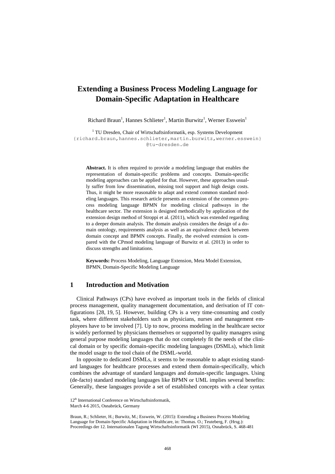# **Extending a Business Process Modeling Language for Domain-Specific Adaptation in Healthcare**

Richard Braun<sup>1</sup>, Hannes Schlieter<sup>1</sup>, Martin Burwitz<sup>1</sup>, Werner Esswein<sup>1</sup>

<sup>1</sup> TU Dresden, Chair of Wirtschaftsinformatik, esp. Systems Development {richard.braun,hannes.schlieter,martin.burwitz,werner.esswein} @tu-dresden.de

**Abstract.** It is often required to provide a modeling language that enables the representation of domain-specific problems and concepts. Domain-specific modeling approaches can be applied for that. However, these approaches usually suffer from low dissemination, missing tool support and high design costs. Thus, it might be more reasonable to adapt and extend common standard modeling languages. This research article presents an extension of the common process modeling language BPMN for modeling clinical pathways in the healthcare sector. The extension is designed methodically by application of the extension design method of Stroppi et al. (2011), which was extended regarding to a deeper domain analysis. The domain analysis considers the design of a domain ontology, requirements analysis as well as an equivalence check between domain concept and BPMN concepts. Finally, the evolved extension is compared with the CPmod modeling language of Burwitz et al. (2013) in order to discuss strengths and limitations.

**Keywords:** Process Modeling, Language Extension, Meta Model Extension, BPMN, Domain-Specific Modeling Language

# **1 Introduction and Motivation**

Clinical Pathways (CPs) have evolved as important tools in the fields of clinical process management, quality management documentation, and derivation of IT configurations [\[28,](#page-13-0) [19,](#page-13-1) [5\]](#page-12-0). However, building CPs is a very time-consuming and costly task, where different stakeholders such as physicians, nurses and management employees have to be involved [\[7\]](#page-12-1). Up to now, process modeling in the healthcare sector is widely performed by physicians themselves or supported by quality managers using general purpose modeling languages that do not completely fit the needs of the clinical domain or by specific domain-specific modeling languages (DSMLs), which limit the model usage to the tool chain of the DSML-world.

In opposite to dedicated DSMLs, it seems to be reasonable to adapt existing standard languages for healthcare processes and extend them domain-specifically, which combines the advantage of standard languages and domain-specific languages. Using (de-facto) standard modeling languages like BPMN or UML implies several benefits: Generally, these languages provide a set of established concepts with a clear syntax

<sup>12&</sup>lt;sup>th</sup> International Conference on Wirtschaftsinformatik,

March 4-6 2015, Osnabrück, Germany

Braun, R.; Schlieter, H.; Burwitz, M.; Esswein, W. (2015): Extending a Business Process Modeling Language for Domain-Specific Adaptation in Healthcare, in: Thomas. O.; Teuteberg, F. (Hrsg.): Proceedings der 12. Internationalen Tagung Wirtschaftsinformatik (WI 2015), Osnabrück, S. 468-481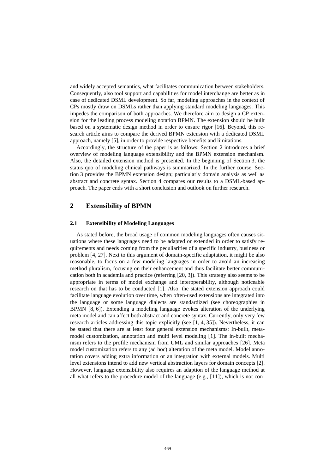and widely accepted semantics, what facilitates communication between stakeholders. Consequently, also tool support and capabilities for model interchange are better as in case of dedicated DSML development. So far, modeling approaches in the context of CPs mostly draw on DSMLs rather than applying standard modeling languages. This impedes the comparison of both approaches. We therefore aim to design a CP extension for the leading process modeling notation BPMN. The extension should be built based on a systematic design method in order to ensure rigor [\[16\]](#page-13-2). Beyond, this research article aims to compare the derived BPMN extension with a dedicated DSML approach, namely [\[5\]](#page-12-0), in order to provide respective benefits and limitations.

Accordingly, the structure of the paper is as follows: Section 2 introduces a brief overview of modeling language extensibility and the BPMN extension mechanism. Also, the detailed extension method is presented. In the beginning of Section 3, the status quo of modeling clinical pathways is summarized. In the further course, Section 3 provides the BPMN extension design; particularly domain analysis as well as abstract and concrete syntax. Section 4 compares our results to a DSML-based approach. The paper ends with a short conclusion and outlook on further research.

# **2 Extensibility of BPMN**

## **2.1 Extensibility of Modeling Languages**

As stated before, the broad usage of common modeling languages often causes situations where these languages need to be adapted or extended in order to satisfy requirements and needs coming from the peculiarities of a specific industry, business or problem [\[4,](#page-12-2) [27\]](#page-13-3). Next to this argument of domain-specific adaptation, it might be also reasonable, to focus on a few modeling languages in order to avoid an increasing method pluralism, focusing on their enhancement and thus facilitate better communication both in academia and practice (referring [\[20,](#page-13-4) [3\]](#page-12-3)). This strategy also seems to be appropriate in terms of model exchange and interoperability, although noticeable research on that has to be conducted [\[1\]](#page-12-4). Also, the stated extension approach could facilitate language evolution over time, when often-used extensions are integrated into the language or some language dialects are standardized (see choreographies in BPMN [\[8,](#page-12-5) [6\]](#page-12-6)). Extending a modeling language evokes alteration of the underlying meta model and can affect both abstract and concrete syntax. Currently, only very few research articles addressing this topic explicitly (see [\[1,](#page-12-4) [4,](#page-12-2) [35\]](#page-14-0)). Nevertheless, it can be stated that there are at least four general extension mechanisms: In-built, metamodel customization, annotation and multi level modeling [\[1\]](#page-12-4). The in-built mechanism refers to the profile mechanism from UML and similar approaches [\[26\]](#page-13-5). Meta model customization refers to any (ad hoc) alteration of the meta model. Model annotation covers adding extra information or an integration with external models. Multi level extensions intend to add new vertical abstraction layers for domain concepts [\[2\]](#page-12-7). However, language extensibility also requires an adaption of the language method at all what refers to the procedure model of the language (e.g., [\[11\]](#page-12-8)), which is not con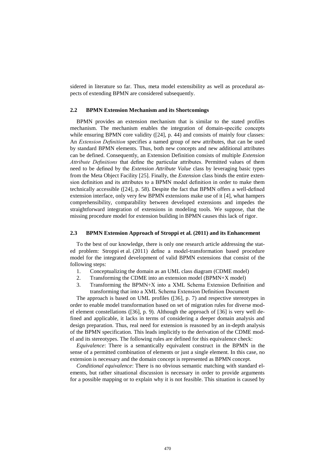sidered in literature so far. Thus, meta model extensibility as well as procedural aspects of extending BPMN are considered subsequently.

#### **2.2 BPMN Extension Mechanism and its Shortcomings**

BPMN provides an extension mechanism that is similar to the stated profiles mechanism. The mechanism enables the integration of domain-specific concepts while ensuring BPMN core validity ([\[24\]](#page-13-6), p. 44) and consists of mainly four classes: An *Extension Definition* specifies a named group of new attributes, that can be used by standard BPMN elements. Thus, both new concepts and new additional attributes can be defined. Consequently, an Extension Definition consists of multiple *Extension Attribute Definitions* that define the particular attributes. Permitted values of them need to be defined by the *Extension Attribute Value* class by leveraging basic types from the Meta Object Facility [\[25\]](#page-13-7). Finally, the *Extension* class binds the entire extension definition and its attributes to a BPMN model definition in order to make them technically accessible ([\[24\]](#page-13-6), p. 58). Despite the fact that BPMN offers a well-defined extension interface, only very few BPMN extensions make use of it [\[4\]](#page-12-2), what hampers comprehensibility, comparability between developed extensions and impedes the straightforward integration of extensions in modeling tools. We suppose, that the missing procedure model for extension building in BPMN causes this lack of rigor.

## **2.3 BPMN Extension Approach of Stroppi et al. (2011) and its Enhancement**

To the best of our knowledge, there is only one research article addressing the stated problem: Stroppi et al. (2011) define a model-transformation based procedure model for the integrated development of valid BPMN extensions that consist of the following steps:

- 1. Conceptualizing the domain as an UML class diagram (CDME model)
- 2. Transforming the CDME into an extension model (BPMN+X model)
- 3. Transforming the BPMN+X into a XML Schema Extension Definition and transforming that into a XML Schema Extension Definition Document

The approach is based on UML profiles ([\[36\]](#page-14-1), p. 7) and respective stereotypes in order to enable model transformation based on set of migration rules for diverse model element constellations ([\[36\]](#page-14-1), p. 9). Although the approach of [\[36\]](#page-14-1) is very well defined and applicable, it lacks in terms of considering a deeper domain analysis and design preparation. Thus, real need for extension is reasoned by an in-depth analysis of the BPMN specification. This leads implicitly to the derivation of the CDME model and its stereotypes. The following rules are defined for this equivalence check:

*Equivalence*: There is a semantically equivalent construct in the BPMN in the sense of a permitted combination of elements or just a single element. In this case, no extension is necessary and the domain concept is represented as BPMN concept.

*Conditional equivalence*: There is no obvious semantic matching with standard elements, but rather situational discussion is necessary in order to provide arguments for a possible mapping or to explain why it is not feasible. This situation is caused by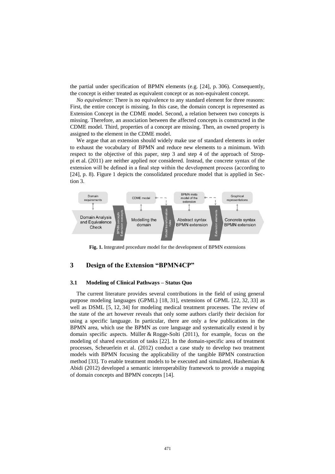the partial under specification of BPMN elements (e.g. [\[24\]](#page-13-6), p. 306). Consequently, the concept is either treated as equivalent concept or as non-equivalent concept.

*No equivalence*: There is no equivalence to any standard element for three reasons: First, the entire concept is missing. In this case, the domain concept is represented as Extension Concept in the CDME model. Second, a relation between two concepts is missing. Therefore, an association between the affected concepts is constructed in the CDME model. Third, properties of a concept are missing. Then, an owned property is assigned to the element in the CDME model.

We argue that an extension should widely make use of standard elements in order to exhaust the vocabulary of BPMN and reduce new elements to a minimum. With respect to the objective of this paper, step 3 and step 4 of the approach of Stroppi et al. (2011) are neither applied nor considered. Instead, the concrete syntax of the extension will be defined in a final step within the development process (according to [\[24\]](#page-13-6), p. 8). Figure 1 depicts the consolidated procedure model that is applied in Section [3.](#page-4-0)



**Fig. 1.** Integrated procedure model for the development of BPMN extensions

# <span id="page-4-0"></span>**3 Design of the Extension "BPMN4CP"**

#### <span id="page-4-1"></span>**3.1 Modeling of Clinical Pathways – Status Quo**

The current literature provides several contributions in the field of using general purpose modeling languages (GPML) [\[18,](#page-13-8) [31\]](#page-13-9), extensions of GPML [\[22,](#page-13-10) [32,](#page-13-11) [33\]](#page-13-12) as well as DSML [\[5,](#page-12-0) [12,](#page-12-9) [34\]](#page-13-13) for modeling medical treatment processes. The review of the state of the art however reveals that only some authors clarify their decision for using a specific language. In particular, there are only a few publications in the BPMN area, which use the BPMN as core language and systematically extend it by domain specific aspects. Müller & Rogge-Solti (2011), for example, focus on the modeling of shared execution of tasks [\[22\]](#page-13-10). In the domain-specific area of treatment processes, Scheuerlein et al. (2012) conduct a case study to develop two treatment models with BPMN focusing the applicability of the tangible BPMN construction method [\[33\]](#page-13-12). To enable treatment models to be executed and simulated, Hashemian & Abidi (2012) developed a semantic interoperability framework to provide a mapping of domain concepts and BPMN concepts [\[14\]](#page-13-14).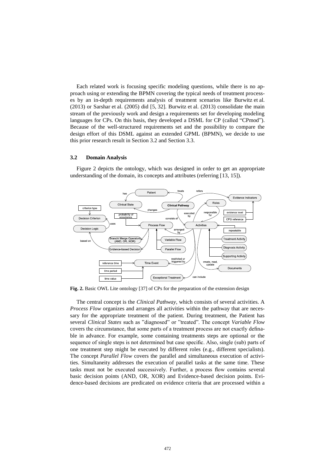Each related work is focusing specific modeling questions, while there is no approach using or extending the BPMN covering the typical needs of treatment processes by an in-depth requirements analysis of treatment scenarios like Burwitz et al. (2013) or Sarshar et al. (2005) did [\[5,](#page-12-0) [32\]](#page-13-11). Burwitz et al. (2013) consolidate the main stream of the previously work and design a requirements set for developing modeling languages for CPs. On this basis, they developed a DSML for CP (called "CPmod"). Because of the well-structured requirements set and the possibility to compare the design effort of this DSML against an extended GPML (BPMN), we decide to use this prior research result in Section [3.2](#page-5-0) and Section [3.3.](#page-6-0)

# <span id="page-5-0"></span>**3.2 Domain Analysis**

Figure 2 depicts the ontology, which was designed in order to get an appropriate understanding of the domain, its concepts and attributes (referring [\[13,](#page-13-15) [15\]](#page-13-16)).



**Fig. 2.** Basic OWL Lite ontology [\[37\]](#page-14-2) of CPs for the preparation of the extension design

The central concept is the *Clinical Pathway*, which consists of several activities. A *Process Flow* organizes and arranges all activities within the pathway that are necessary for the appropriate treatment of the patient. During treatment, the Patient has several *Clinical States* such as "diagnosed" or "treated". The concept *Variable Flow* covers the circumstance, that some parts of a treatment process are not exactly definable in advance. For example, some containing treatments steps are optional or the sequence of single steps is not determined but case specific. Also, single (sub) parts of one treatment step might be executed by different roles (e.g., different specialists). The concept *Parallel Flow* covers the parallel and simultaneous execution of activities. Simultaneity addresses the execution of parallel tasks at the same time. These tasks must not be executed successively. Further, a process flow contains several basic decision points (AND, OR, XOR) and Evidence-based decision points. Evidence-based decisions are predicated on evidence criteria that are processed within a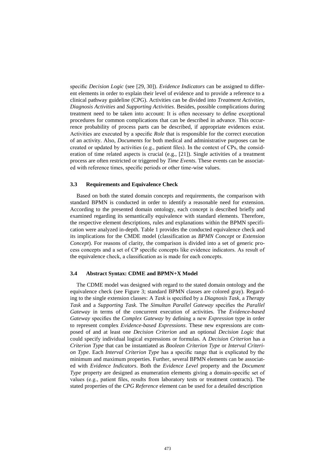specific *Decision Logic* (see [\[29,](#page-13-17) [30\]](#page-13-18)). *Evidence Indicators* can be assigned to different elements in order to explain their level of evidence and to provide a reference to a clinical pathway guideline (CPG). Activities can be divided into *Treatment Activities*, *Diagnosis Activities* and *Supporting Activities*. Besides, possible complications during treatment need to be taken into account: It is often necessary to define exceptional procedures for common complications that can be described in advance. This occurrence probability of process parts can be described, if appropriate evidences exist. Activities are executed by a specific *Role* that is responsible for the correct execution of an activity. Also, *Documents* for both medical and administrative purposes can be created or updated by activities (e.g., patient files). In the context of CPs, the consideration of time related aspects is crucial (e.g., [\[21\]](#page-13-19)). Single activities of a treatment process are often restricted or triggered by *Time Events*. These events can be associated with reference times, specific periods or other time-wise values.

#### <span id="page-6-0"></span>**3.3 Requirements and Equivalence Check**

Based on both the stated domain concepts and requirements, the comparison with standard BPMN is conducted in order to identify a reasonable need for extension. According to the presented domain ontology, each concept is described briefly and examined regarding its semantically equivalence with standard elements. Therefore, the respective element descriptions, rules and explanations within the BPMN specification were analyzed in-depth. Table 1 provides the conducted equivalence check and its implications for the CMDE model (classification as *BPMN Concept* or *Extension Concept*). For reasons of clarity, the comparison is divided into a set of generic process concepts and a set of CP specific concepts like evidence indicators. As result of the equivalence check, a classification as is made for each concepts.

# **3.4 Abstract Syntax: CDME and BPMN+X Model**

The CDME model was designed with regard to the stated domain ontology and the equivalence check (see Figure 3; standard BPMN classes are colored gray). Regarding to the single extension classes: A *Task* is specified by a *Diagnosis Task*, a *Therapy Task* and a *Supporting Task*. The *Simultan Parallel Gateway* specifies the *Parallel Gateway* in terms of the concurrent execution of activities. The *Evidence-based Gateway* specifies the *Complex Gateway* by defining a new *Expression* type in order to represent complex *Evidence-based Expressions*. These new expressions are composed of and at least one *Decision Criterion* and an optional *Decision Logic* that could specify individual logical expressions or formulas. A *Decision Criterion* has a *Criterion Type* that can be instantiated as *Boolean Criterion Type* or *Interval Criterion Type*. Each *Interval Criterion Type* has a specific range that is explicated by the minimum and maximum properties. Further, several BPMN elements can be associated with *Evidence Indicators*. Both the *Evidence Level* property and the *Document Type* property are designed as enumeration elements giving a domain-specific set of values (e.g., patient files, results from laboratory tests or treatment contracts). The stated properties of the *CPG Reference* element can be used for a detailed description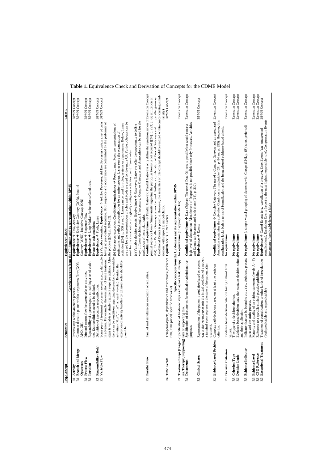| Req. Concept                                                      | Semantics                                                                                                                                          | <b>Equivalence Check</b>                                                                                                                                                                                                                                                                                                | CDME                                       |
|-------------------------------------------------------------------|----------------------------------------------------------------------------------------------------------------------------------------------------|-------------------------------------------------------------------------------------------------------------------------------------------------------------------------------------------------------------------------------------------------------------------------------------------------------------------------|--------------------------------------------|
|                                                                   |                                                                                                                                                    | Generic concepts from the CP domain and its representation within BPMN                                                                                                                                                                                                                                                  |                                            |
| R1 Activity                                                       | Process step within an entire process.                                                                                                             | Equivalence → Task, Activity                                                                                                                                                                                                                                                                                            | <b>BPMN Concept</b><br><b>BPMN Concept</b> |
| R1 Branch and Merge                                               | Common decision points within the process flow (XOR,                                                                                               | Equivalence $\rightarrow$ Exclusive Gateway (XOR), Parallel                                                                                                                                                                                                                                                             |                                            |
| Operators                                                         | AND, OR)                                                                                                                                           | Gateway (AND), Inclusive Gateway (OR)                                                                                                                                                                                                                                                                                   |                                            |
| R1 Process Flow                                                   | Directed control flow between tasks or activities.                                                                                                 | Equivalence → Sequence Flow                                                                                                                                                                                                                                                                                             | <b>BPMN Concept</b>                        |
| R1 Iteration                                                      | Repeatability of a process part, containing a set of activi-                                                                                       | Equivalence → Loop Marker for iterations; Conditional                                                                                                                                                                                                                                                                   | <b>BPMN Concept</b>                        |
|                                                                   | ties. Exit conditions need to be defined.                                                                                                          | Events for exit conditions                                                                                                                                                                                                                                                                                              |                                            |
| R1 Responsibility (Role)<br>R2 Variable Flow                      | Definition of execution responsibilities.                                                                                                          | Equivalence → Pools, Lanes                                                                                                                                                                                                                                                                                              | <b>BPMN</b> Concept                        |
|                                                                   |                                                                                                                                                    | Some parts of treatment processes are not exactly definable (a) Variable execution: Equivalence > Ad Hoc Processes: Ad Hoc Processes contain a set of tasks<br>in advance. For example, the execution of some treatment having no pre-defined sequence. Both sequence and occurrence are determined by the performer of | <b>BPMN</b> Concept                        |
|                                                                   | steps is variable or single treatment steps are optional. Also, the process ([24], p. 180-182).                                                    |                                                                                                                                                                                                                                                                                                                         |                                            |
|                                                                   |                                                                                                                                                    | there can be conditions regarding the number of executable (b) Role-across execution: Conditional equivalence > Pools, Lanes: Pools are representations of                                                                                                                                                              |                                            |
|                                                                   | execution of activity bundles by different roles should be<br>activities $(^{90}$ . n", "1n", at least two etc.). Besides, the                     | participants and reflect responsibilities for an entire process. Lanes serve the organization of                                                                                                                                                                                                                        |                                            |
|                                                                   | possible.                                                                                                                                          | are used for the representation of roles and Pools are used for the entire CP. Further, Groups can be<br>activities ([24], p. 306 et seq.). Lanes can be used for roles, systems or departments. Below, Lanes                                                                                                           |                                            |
|                                                                   |                                                                                                                                                    | used for the visualization of logically contiguous activities over different roles.                                                                                                                                                                                                                                     |                                            |
|                                                                   |                                                                                                                                                    | very different decision logics. If necessary, Complex Gateways and Annotations can be used for the<br>(c) Variable decision points: Equivalence $\rightarrow$ Gateways: Gateways offer the opportunity to define                                                                                                        |                                            |
|                                                                   |                                                                                                                                                    | explication of nontrivial logics.                                                                                                                                                                                                                                                                                       |                                            |
| R <sub>2</sub> Parallel Flow                                      | Parallel and simultaneous execution of activities.                                                                                                 | Conditional equivalence $\rightarrow$ Parallel Gateway: Parallel Gateways only define the synchronization of Extension Concept                                                                                                                                                                                          |                                            |
|                                                                   |                                                                                                                                                    | parallel sequence flows. Simultaneity regarding the particular tokens is not required ([24], p. 293; p. (specification of                                                                                                                                                                                               |                                            |
|                                                                   |                                                                                                                                                    | Conditional Events is possible. However, the semantics of this concept should be realized within oneconcerning simul-<br>434). Thus, Parallel Gateways cannot be used. Further, a combination of Parallel Gateways and                                                                                                  | parallel gateway                           |
|                                                                   |                                                                                                                                                    | element with respect to model clarity.                                                                                                                                                                                                                                                                                  |                                            |
| R4 Time Events                                                    | Temporal aspects, dependencies and restrictions (reference Equivalence → Timer Events                                                              |                                                                                                                                                                                                                                                                                                                         | <b>BPMN</b> Concept<br>taneity)            |
|                                                                   | time, time period, specific time value)                                                                                                            |                                                                                                                                                                                                                                                                                                                         |                                            |
|                                                                   |                                                                                                                                                    | Specific concepts from the CP domain and its representation within BPMN                                                                                                                                                                                                                                                 |                                            |
|                                                                   | R1 Treatment Steps (Diagno-Specification of treatment steps as diagnosis task, therapy No equivalence (no appropriate Marker)                      |                                                                                                                                                                                                                                                                                                                         | <b>Extension Concept</b>                   |
|                                                                   | sis, Therapy, Supporting) task or supporting task.                                                                                                 |                                                                                                                                                                                                                                                                                                                         |                                            |
| <b>Documents</b><br>$\overline{R}$                                | Specification of documents for medical or administrative                                                                                           | Conditional equivalence $\rightarrow$ Data Objects: The use of Data Objects is possible but would cause a                                                                                                                                                                                                               | Extension Concept                          |
|                                                                   | purposes.                                                                                                                                          | high level of abstraction. Also, the use of Properties is not possible since only Processes, Activities                                                                                                                                                                                                                 |                                            |
|                                                                   |                                                                                                                                                    | and Events can be associated with them ([24], p. 210).                                                                                                                                                                                                                                                                  |                                            |
| R1 Clinical States                                                | Representation of the patient's condition based on events,                                                                                         | Equivalence $\rightarrow$ Events                                                                                                                                                                                                                                                                                        | <b>BPMN</b> Concept                        |
|                                                                   | e.g. a start event represents the initial condition of a patient,                                                                                  |                                                                                                                                                                                                                                                                                                                         |                                            |
|                                                                   | a terminal event represents the state of the patient after<br>treatment.                                                                           |                                                                                                                                                                                                                                                                                                                         |                                            |
| R3 Evidence-based Decision                                        | Complex path decisions based on at least one decision                                                                                              | <b>Conditional equivalence <math>\rightarrow</math></b> Complex Gateway: The use of a Complex Gateway and an associated Extension Concept                                                                                                                                                                               |                                            |
|                                                                   | criterion.                                                                                                                                         | Annotation containing the activation Condition is imaginable ([24], p. 84 and p. 295). However, this                                                                                                                                                                                                                    |                                            |
|                                                                   |                                                                                                                                                    | configuration lacks both in terms of formalization and the integration of evidence-based criteria                                                                                                                                                                                                                       |                                            |
| R <sub>3</sub> Decision Criterion                                 | Evidence based decision criterion having defined limit                                                                                             | No equivalence                                                                                                                                                                                                                                                                                                          | <b>Extension Concept</b>                   |
| R3 Criterion Type                                                 | The type of a decision criterion.<br>values.                                                                                                       | No equivalence                                                                                                                                                                                                                                                                                                          | <b>Extension Concept</b>                   |
| R <sub>3</sub> Decision Logic                                     | Evidence based decision logic that contains decision criteriaNo equivalence                                                                        |                                                                                                                                                                                                                                                                                                                         | <b>Extension Concept</b>                   |
|                                                                   | and their application.                                                                                                                             |                                                                                                                                                                                                                                                                                                                         |                                            |
| R3 Evidence Indicator                                             |                                                                                                                                                    | Indicator that can be bound to activities, decisions, process No equivalence (a simple visual grouping of elements with Groups ([24], p. 68) is not preferred)                                                                                                                                                          | <b>Extension Concept</b>                   |
|                                                                   | parts and the entire process.                                                                                                                      |                                                                                                                                                                                                                                                                                                                         |                                            |
| R3 Evidence Level<br>R3 CPG Reference<br>R5 Exceptional Treatment | Maturity and quality of an evident statement (levels $A - F$ ). No equivalence Reference to a specific clinical practice guideline. No equivalence |                                                                                                                                                                                                                                                                                                                         | <b>Extension Concept</b>                   |
|                                                                   |                                                                                                                                                    |                                                                                                                                                                                                                                                                                                                         | <b>Extension Concept</b>                   |
|                                                                   | Treatment of complications or other kinds of irregularities<br>(both predictable and unpredictable)                                                | complications), Escalation Events (report to the next highest responsible role), Compensation Events<br>Equivalence $\rightarrow$ Cancel Events (e.g., cancellation of a therapy), Error Events (e.g., unexpected                                                                                                       | <b>BPMN</b> Concept                        |
|                                                                   |                                                                                                                                                    | (treatment of predictable irregularities)                                                                                                                                                                                                                                                                               |                                            |
|                                                                   |                                                                                                                                                    |                                                                                                                                                                                                                                                                                                                         |                                            |

# **Table 1.** Equivalence Check and Derivation of Concepts for the CDME Model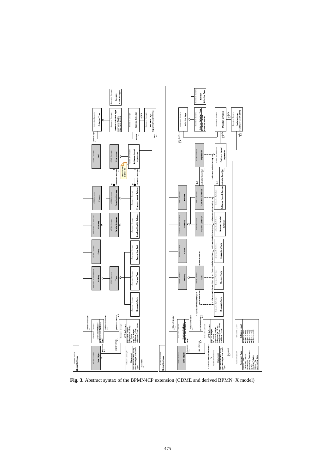

**Fig. 3.** Abstract syntax of the BPMN4CP extension (CDME and derived BPMN+X model)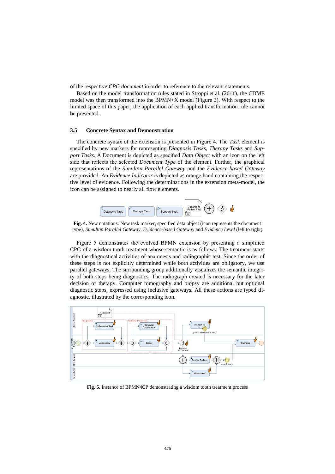of the respective *CPG document* in order to reference to the relevant statements.

Based on the model transformation rules stated in Stroppi et al. (2011), the CDME model was then transformed into the BPMN+X model (Figure 3). With respect to the limited space of this paper, the application of each applied transformation rule cannot be presented.

#### **3.5 Concrete Syntax and Demonstration**

The concrete syntax of the extension is presented in Figure 4. The *Task* element is specified by new markers for representing *Diagnosis Tasks*, *Therapy Tasks* and *Support Tasks*. A Document is depicted as specified *Data Object* with an icon on the left side that reflects the selected *Document Type* of the element. Further, the graphical representations of the *Simultan Parallel Gateway* and the *Evidence-based Gateway* are provided. An *Evidence Indicator* is depicted as orange hand containing the respective level of evidence. Following the determinations in the extension meta-model, the icon can be assigned to nearly all flow elements.



**Fig. 4.** New notations: New task marker, specified data object (icon represents the document type), *Simultan Parallel Gateway*, *Evidence-based Gateway* and *Evidence Level* (left to right)

Figure 5 demonstrates the evolved BPMN extension by presenting a simplified CPG of a wisdom tooth treatment whose semantic is as follows: The treatment starts with the diagnostical activities of anamnesis and radiographic test. Since the order of these steps is not explicitly determined while both activities are obligatory, we use parallel gateways. The surrounding group additionally visualizes the semantic integrity of both steps being diagnostics. The radiograph created is necessary for the later decision of therapy. Computer tomography and biopsy are additional but optional diagnostic steps, expressed using inclusive gateways. All these actions are typed diagnostic, illustrated by the corresponding icon.



**Fig. 5.** Instance of BPMN4CP demonstrating a wisdom tooth treatment process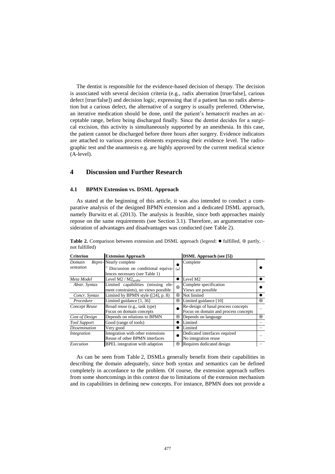The dentist is responsible for the evidence-based decision of therapy. The decision is associated with several decision criteria (e.g., radix aberration [true/false], carious defect [true/false]) and decision logic, expressing that if a patient has no radix aberration but a carious defect, the alternative of a surgery is usually preferred. Otherwise, an iterative medication should be done, until the patient's hematocrit reaches an acceptable range, before being discharged finally. Since the dentist decides for a surgical excision, this activity is simultaneously supported by an anesthesia. In this case, the patient cannot be discharged before three hours after surgery. Evidence indicators are attached to various process elements expressing their evidence level. The radiographic test and the anamnesis e.g. are highly approved by the current medical science (A-level).

# **4 Discussion und Further Research**

# **4.1 BPMN Extension vs. DSML Approach**

As stated at the beginning of this article, it was also intended to conduct a comparative analysis of the designed BPMN extension and a dedicated DSML approach, namely Burwitz et al. (2013). The analysis is feasible, since both approaches mainly repose on the same requirements (see Section [3.1\)](#page-4-1). Therefore, an argumentative consideration of advantages and disadvantages was conducted (see Table 2).

| <b>Criterion</b>     | <b>Extension Approach</b>                                                                    |           | <b>DSML</b> Approach (see [5])                                              |         |
|----------------------|----------------------------------------------------------------------------------------------|-----------|-----------------------------------------------------------------------------|---------|
| Domain<br>sentation  | Repre-Nearly complete<br>Discussion on conditional equiva-<br>lences necessary (see Table 1) | $(*)$     | Complete                                                                    |         |
| Meta Model           | Level M2 / M2 <sub>profile</sub>                                                             | $\bullet$ | Level M2                                                                    |         |
| Abstr. Syntax        | Limited capabilities (missing ele-<br>ment constraints), no views possible                   | $\odot$   | Complete specification<br>Views are possible                                |         |
| Concr. Syntax        | Limited by BPMN style $(24, p. 8)$                                                           | ⊙         | Not limited                                                                 |         |
| Procedure            | Limited guidance [1, 36]                                                                     | ⊙         | Limited guidance [10]                                                       | $\odot$ |
| Concept Reuse        | Broad reuse (e.g., task type)<br>Focus on domain concepts                                    |           | Re-design of basal process concepts<br>Focus on domain and process concepts |         |
| Cost of Design       | Depends on relations to BPMN                                                                 | ⊙         | Depends on language                                                         | ⊙       |
| <b>Tool Support</b>  | Good (range of tools)                                                                        |           | Limited                                                                     |         |
| <b>Dissemination</b> | Very good                                                                                    |           | Limited                                                                     |         |
| Integration          | Integration with other extensions<br>Reuse of other BPMN interfaces                          |           | Dedicated interfaces required<br>No integration reuse                       |         |
| Execution            | <b>BPEL</b> integration with adaption                                                        | ⊙         | Requires dedicated design                                                   |         |

Table 2. Comparison between extension and DSML approach (legend:  $\bullet$  fulfilled,  $\odot$  partly, − not fulfilled)

As can be seen from Table 2, DSMLs generally benefit from their capabilities in describing the domain adequately, since both syntax and semantics can be defined completely in accordance to the problem. Of course, the extension approach suffers from some shortcomings in this context due to limitations of the extension mechanism and its capabilities in defining new concepts. For instance, BPMN does not provide a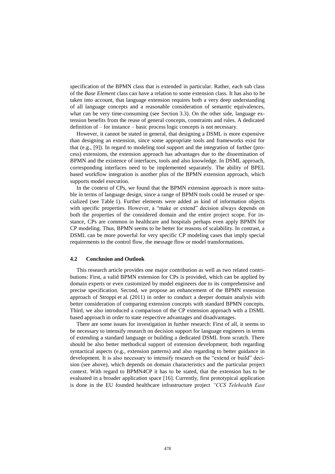specification of the BPMN class that is extended in particular. Rather, each sub class of the *Base Element* class can have a relation to some extension class. It has also to be taken into account, that language extension requires both a very deep understanding of all language concepts and a reasonable consideration of semantic equivalences, what can be very time-consuming (see Section [3.3\)](#page-6-0). On the other side, language extension benefits from the reuse of general concepts, constraints and rules. A dedicated definition of – for instance – basic process logic concepts is not necessary.

However, it cannot be stated in general, that designing a DSML is more expensive than designing an extension, since some appropriate tools and frameworks exist for that (e.g., [\[9\]](#page-12-11)). In regard to modeling tool support and the integration of further (process) extensions, the extension approach has advantages due to the dissemination of BPMN and the existence of interfaces, tools and also knowledge. In DSML approach, corresponding interfaces need to be implemented separately. The ability of BPEL based workflow integration is another plus of the BPMN extension approach, which supports model execution.

In the context of CPs, we found that the BPMN extension approach is more suitable in terms of language design, since a range of BPMN tools could be reused or specialized (see Table 1). Further elements were added as kind of information objects with specific properties. However, a "make or extend" decision always depends on both the properties of the considered domain and the entire project scope. For instance, CPs are common in healthcare and hospitals perhaps even apply BPMN for CP modeling. Thus, BPMN seems to be better for reasons of scalability. In contrast, a DSML can be more powerful for very specific CP modeling cases that imply special requirements to the control flow, the message flow or model transformations.

#### **4.2 Conclusion and Outlook**

This research article provides one major contribution as well as two related contributions: First, a valid BPMN extension for CPs is provided, which can be applied by domain experts or even customized by model engineers due to its comprehensive and precise specification. Second, we propose an enhancement of the BPMN extension approach of Stroppi et al. (2011) in order to conduct a deeper domain analysis with better consideration of comparing extension concepts with standard BPMN concepts. Third, we also introduced a comparison of the CP extension approach with a DSML based approach in order to state respective advantages and disadvantages.

There are some issues for investigation in further research: First of all, it seems to be necessary to intensify research on decision support for language engineers in terms of extending a standard language or building a dedicated DSML from scratch. There should be also better methodical support of extension development; both regarding syntactical aspects (e.g., extension patterns) and also regarding to better guidance in development. It is also necessary to intensify research on the "extend or build" decision (see above), which depends on domain characteristics and the particular project context. With regard to BPMN4CP it has to be stated, that the extension has to be evaluated in a broader application space [\[16\]](#page-13-2). Currently, first prototypical application is done in the EU founded healthcare infrastructure project *"CCS Telehealth East*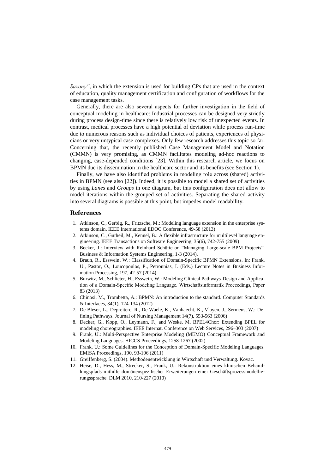*Saxony"*, in which the extension is used for building CPs that are used in the context of education, quality management certification and configuration of workflows for the case management tasks.

Generally, there are also several aspects for further investigation in the field of conceptual modeling in healthcare: Industrial processes can be designed very strictly during process design-time since there is relatively low risk of unexpected events. In contrast, medical processes have a high potential of deviation while process run-time due to numerous reasons such as individual choices of patients, experiences of physicians or very untypical case complexes. Only few research addresses this topic so far. Concerning that, the recently published Case Management Model and Notation (CMMN) is very promising, as CMMN facilitates modeling ad-hoc reactions to changing, case-depended conditions [\[23\]](#page-13-20). Within this research article, we focus on BPMN due its dissemination in the healthcare sector and its benefits (see Section 1).

Finally, we have also identified problems in modeling role across (shared) activities in BPMN (see also [\[22\]](#page-13-10)). Indeed, it is possible to model a shared set of activities by using *Lanes* and *Groups* in one diagram, but this configuration does not allow to model iterations within the grouped set of activities. Separating the shared activity into several diagrams is possible at this point, but impedes model readability.

## **References**

- <span id="page-12-4"></span>1. Atkinson, C., Gerbig, R., Fritzsche, M.: Modeling language extension in the enterprise systems domain. IEEE International EDOC Conference, 49-58 (2013)
- <span id="page-12-7"></span>2. Atkinson, C., Gutheil, M., Kennel, B.: A flexible infrastructure for multilevel language engineering. IEEE Transactions on Software Engineering, 35(6), 742-755 (2009)
- <span id="page-12-3"></span>3. Becker, J.: Interview with Reinhard Schütte on "Managing Large-scale BPM Projects". Business & Information Systems Engineering, 1-3 (2014).
- <span id="page-12-2"></span>4. Braun, R., Esswein, W.: Classification of Domain-Specific BPMN Extensions. In: Frank, U., Pastor, O., Loucopoulos, P., Petrounias, I. (Eds.) Lecture Notes in Business Information Processing, 197, 42-57 (2014)
- <span id="page-12-0"></span>5. Burwitz, M., Schlieter, H., Esswein, W.: Modeling Clinical Pathways-Design and Application of a Domain-Specific Modeling Language. Wirtschaftsinformatik Proceedings, Paper 83 (2013)
- <span id="page-12-6"></span>6. Chinosi, M., Trombetta, A.: BPMN: An introduction to the standard. Computer Standards & Interfaces, 34(1), 124-134 (2012)
- <span id="page-12-1"></span>7. De Bleser, L., Depreitere, R., De Waele, K., Vanhaecht, K., Vlayen, J., Sermeus, W.: Defining Pathways. Journal of Nursing Management 14(7), 553-563 (2006)
- <span id="page-12-5"></span>8. Decker, G., Kopp, O., Leymann, F., and Weske, M. BPEL4Chor: Extending BPEL for modeling choreographies. IEEE Internat. Conference on Web Services, 296–303 (2007)
- <span id="page-12-11"></span>9. Frank, U.: Multi-Perspective Enterprise Modeling (MEMO) Conceptual Framework and Modeling Languages. HICCS Proceedings, 1258-1267 (2002)
- <span id="page-12-10"></span>10. Frank, U.: Some Guidelines for the Conception of Domain-Specific Modeling Languages. EMISA Proceedings, 190, 93-106 (2011)
- <span id="page-12-8"></span>11. Greiffenberg, S. (2004). Methodenentwicklung in Wirtschaft und Verwaltung. Kovac.
- <span id="page-12-9"></span>12. Heise, D., Hess, M., Strecker, S., Frank, U.: Rekonstruktion eines klinischen Behandlungspfads mithilfe domänenspezifischer Erweiterungen einer Geschäftsprozessmodellierungssprache. DLM 2010, 210-227 (2010)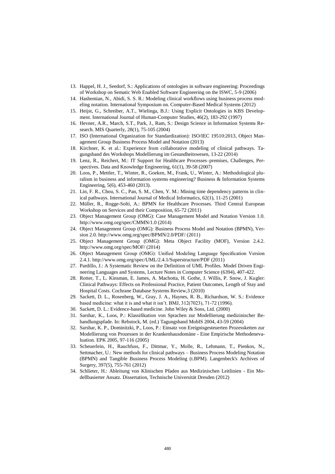- <span id="page-13-15"></span>13. Happel, H. J., Seedorf, S.: Applications of ontologies in software engineering: Proceedings of Workshop on Sematic Web Enabled Software Engineering on the ISWC, 5-9 (2006)
- <span id="page-13-14"></span>14. Hashemian, N., Abidi, S. S. R.: Modeling clinical workflows using business process modeling notation. International Symposium on. Computer-Based Medical Systems (2012)
- <span id="page-13-16"></span>15. Heijst, G., Schreiber, A.T., Wielinga, B.J.: Using Explicit Ontologies in KBS Development. International Journal of Human-Computer Studies, 46(2), 183-292 (1997)
- <span id="page-13-2"></span>16. Hevner, A.R., March, S.T., Park, J., Ram, S.: Design Science in Information Systems Research. MIS Quarterly, 28(1), 75-105 (2004)
- 17. ISO (International Organization for Standardization): ISO/IEC 19510:2013, Object Management Group Business Process Model and Notation (2013)
- <span id="page-13-8"></span>18. Kirchner, K. et al.: Experience from collaborative modeling of clinical pathways. Tagungsband des Workshops Modellierung im Gesundheitswesen, 13-22 (2014)
- <span id="page-13-1"></span>19. Lenz, R., Reichert, M.: IT Support for Healthcare Processes–premises, Challenges, Perspectives. Data and Knowledge Engineering, 61(1), 39-58 (2007)
- <span id="page-13-4"></span>20. Loos, P., Mettler, T., Winter, R., Goeken, M., Frank, U., Winter, A.: Methodological pluralism in business and information systems engineering? Business & Information Systems Engineering, 5(6), 453-460 (2013).
- <span id="page-13-19"></span>21. Lin, F. R., Chou, S. C., Pan, S. M., Chen, Y. M.: Mining time dependency patterns in clinical pathways. International Journal of Medical Informatics, 62(1), 11-25 (2001)
- <span id="page-13-10"></span>22. Müller, R., Rogge-Solti, A.: BPMN for Healthcare Processes. Third Central European Workshop on Services and their Composition, 65-72 (2011)
- <span id="page-13-20"></span>23. Object Management Group (OMG): Case Management Model and Notation Version 1.0. http://www.omg.org/spec/CMMN/1.0 (2014)
- <span id="page-13-6"></span>24. Object Management Group (OMG): Business Process Model and Notation (BPMN), Version 2.0. http://www.omg.org/spec/BPMN/2.0/PDF/ (2011)
- <span id="page-13-7"></span>25. Object Management Group (OMG): Meta Object Facility (MOF), Version 2.4.2. http://www.omg.org/spec/MOF/ (2014)
- <span id="page-13-5"></span>26. Object Management Group (OMG): Unified Modeling Language Specification Version 2.4.1. http://www.omg.org/spec/UML/2.4.1/Superstructure/PDF (2011)
- <span id="page-13-3"></span>27. Pardillo, J.: A Systematic Review on the Definition of UML Profiles. Model Driven Engineering Languages and Systems, Lecture Notes in Computer Science (6394), 407-422.
- <span id="page-13-0"></span>28. Rotter, T., L. Kinsman, E. James, A. Machotta, H. Gothe, J. Willis, P. Snow, J. Kugler: Clinical Pathways: Effects on Professional Practice, Patient Outcomes, Length of Stay and Hospital Costs. Cochrane Database Systems Review,3 (2010)
- <span id="page-13-17"></span>29. Sackett, D. L., Rosenberg, W., Gray, J. A., Haynes, R. B., Richardson, W. S.: Evidence based medicine: what it is and what it isn't. BMJ, 312(7023), 71-72 (1996).
- <span id="page-13-18"></span>30. Sackett, D. L.: Evidence-based medicine. John Wiley & Sons, Ltd. (2000)
- <span id="page-13-9"></span>31. Sarshar, K., Loos, P.: Klassifikation von Sprachen zur Modellierung medizinischer Behandlungspfade. In: Rebstock, M. (ed.) Tagungsband MobIS 2004, 43-59 (2004)
- <span id="page-13-11"></span>32. Sarshar, K. P., Dominitzki, P., Loos, P.: Einsatz von Ereignisgesteuerten Prozessketten zur Modellierung von Prozessen in der Krankenhausdomäne - Eine Empirische Methodenevaluation. EPK 2005, 97-116 (2005)
- <span id="page-13-12"></span>33. Scheuerlein, H., Rauchfuss, F., Dittmar, Y., Molle, R., Lehmann, T., Pienkos, N., Settmacher, U.: New methods for clinical pathways – Business Process Modeling Notation (BPMN) and Tangible Business Process Modeling (t.BPM). Langenbeck's Archives of Surgery, 397(5), 755-761 (2012)
- <span id="page-13-13"></span>34. Schlieter, H.: Ableitung von Klinischen Pfaden aus Medizinischen Leitlinien - Ein Modellbasierter Ansatz. Dissertation, Technische Universität Dresden (2012)